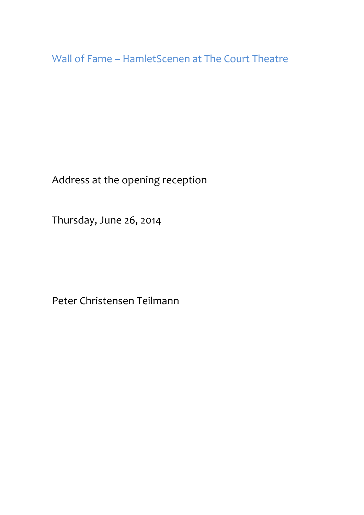Wall of Fame – HamletScenen at The Court Theatre

Address at the opening reception

Thursday, June 26, 2014

Peter Christensen Teilmann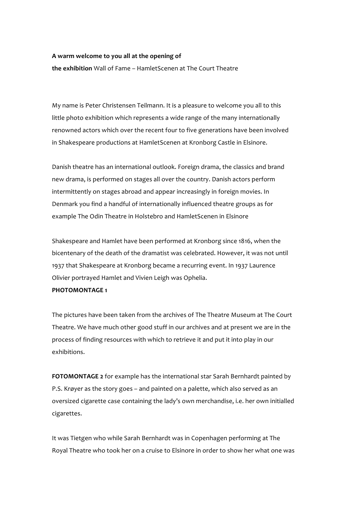## A warm welcome to you all at the opening of

**the exhibition** Wall of Fame – HamletScenen at The Court Theatre

My name is Peter Christensen Teilmann. It is a pleasure to welcome you all to this little photo exhibition which represents a wide range of the many internationally renowned actors which over the recent four to five generations have been involved in Shakespeare productions at HamletScenen at Kronborg Castle in Elsinore.

Danish theatre has an international outlook. Foreign drama, the classics and brand new drama, is performed on stages all over the country. Danish actors perform intermittently on stages abroad and appear increasingly in foreign movies. In Denmark you find a handful of internationally influenced theatre groups as for example The Odin Theatre in Holstebro and HamletScenen in Elsinore

Shakespeare and Hamlet have been performed at Kronborg since 1816, when the bicentenary of the death of the dramatist was celebrated. However, it was not until 1937 that Shakespeare at Kronborg became a recurring event. In 1937 Laurence Olivier portrayed Hamlet and Vivien Leigh was Ophelia.

## **PHOTOMONTAGE 1**

The pictures have been taken from the archives of The Theatre Museum at The Court Theatre. We have much other good stuff in our archives and at present we are in the process of finding resources with which to retrieve it and put it into play in our exhibitions.

FOTOMONTAGE 2 for example has the international star Sarah Bernhardt painted by P.S. Krøyer as the story goes – and painted on a palette, which also served as an oversized cigarette case containing the lady's own merchandise, i.e. her own initialled cigarettes.

It was Tietgen who while Sarah Bernhardt was in Copenhagen performing at The Royal Theatre who took her on a cruise to Elsinore in order to show her what one was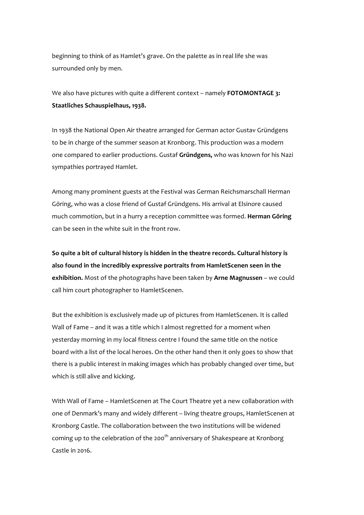beginning to think of as Hamlet's grave. On the palette as in real life she was surrounded only by men.

We also have pictures with quite a different context – namely **FOTOMONTAGE 3:** Staatliches Schauspielhaus, 1938.

In 1938 the National Open Air theatre arranged for German actor Gustav Gründgens to be in charge of the summer season at Kronborg. This production was a modern one compared to earlier productions. Gustaf Gründgens, who was known for his Nazi sympathies portrayed Hamlet.

Among many prominent guests at the Festival was German Reichsmarschall Herman Göring, who was a close friend of Gustaf Gründgens. His arrival at Elsinore caused much commotion, but in a hurry a reception committee was formed. **Herman Göring** can be seen in the white suit in the front row.

So quite a bit of cultural history is hidden in the theatre records. Cultural history is also found in the incredibly expressive portraits from HamletScenen seen in the **exhibition.** Most of the photographs have been taken by **Arne Magnussen** – we could call him court photographer to HamletScenen.

But the exhibition is exclusively made up of pictures from HamletScenen. It is called Wall of Fame – and it was a title which I almost regretted for a moment when yesterday morning in my local fitness centre I found the same title on the notice board with a list of the local heroes. On the other hand then it only goes to show that there is a public interest in making images which has probably changed over time, but which is still alive and kicking.

With Wall of Fame – HamletScenen at The Court Theatre yet a new collaboration with one of Denmark's many and widely different – living theatre groups, HamletScenen at Kronborg Castle. The collaboration between the two institutions will be widened coming up to the celebration of the 200<sup>th</sup> anniversary of Shakespeare at Kronborg  $C$ astle in 2016.